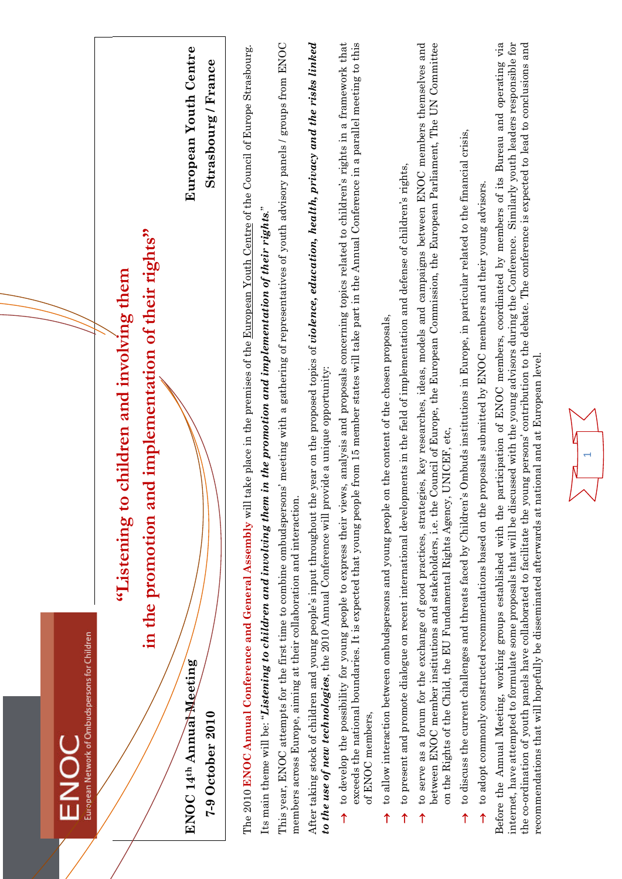| European Network of Ombudspersons for Children<br><b>DONE</b>                                                                                                                                    |                                                                                                                                                                                                                                                                                                                                                                                                                                      |
|--------------------------------------------------------------------------------------------------------------------------------------------------------------------------------------------------|--------------------------------------------------------------------------------------------------------------------------------------------------------------------------------------------------------------------------------------------------------------------------------------------------------------------------------------------------------------------------------------------------------------------------------------|
| "Listening to                                                                                                                                                                                    | children and involving them                                                                                                                                                                                                                                                                                                                                                                                                          |
|                                                                                                                                                                                                  | in the promotion and implementation of their rights"                                                                                                                                                                                                                                                                                                                                                                                 |
| ENOC 14th Annual Meeting                                                                                                                                                                         | European Youth Centre                                                                                                                                                                                                                                                                                                                                                                                                                |
| $7-9$ October 2010                                                                                                                                                                               | $strasbowrg$ / France                                                                                                                                                                                                                                                                                                                                                                                                                |
|                                                                                                                                                                                                  | The 2010 ENOC Annual Conference and General Assembly will take place in the premises of the European Youth Centre of the Council of Europe Strasbourg.                                                                                                                                                                                                                                                                               |
| Its main theme will be: "Listening to children and involving them in the promotion and implementation of their rights."<br>members across Europe, aiming at their collaboration and interaction. | This year, ENOC attempts for the first time to combine ombudspersons' meeting with a gathering of representatives of youth advisory panels / groups from ENOC                                                                                                                                                                                                                                                                        |
| to the use of new technologies, the 2010 Annual Conference will provide a unique opportunity:                                                                                                    | After taking stock of children and young people's input throughout the year on the proposed topics of violence, education, health, privacy and the risks linked                                                                                                                                                                                                                                                                      |
| of ENOC members,<br>↑                                                                                                                                                                            | to develop the possibility for young people to express their views, analysis and proposals concerning topics related to children's rights in a framework that<br>exceeds the national boundaries. It is expected that young people from 15 member states will take part in the Annual Conference in a parallel meeting to this                                                                                                       |
| to allow interaction between ombudspersons and young people on the content of the chosen proposals,<br>↑                                                                                         |                                                                                                                                                                                                                                                                                                                                                                                                                                      |
| ↑                                                                                                                                                                                                | to present and promote dialogue on recent international developments in the field of implementation and defense of children's rights,                                                                                                                                                                                                                                                                                                |
| on the Rights of the Child, the EU Fundamental Rights Agency,<br>between ENOC member institutions and stakeholders, i.e. the<br>$\uparrow$                                                       | Council of Europe, the European Commission, the European Parliament, The UN Committee<br>to serve as a forum for the exchange of good practices, strategies, key researches, ideas, models and campaigns between ENOC members themselves and<br>UNICEF, etc,                                                                                                                                                                         |
| $\uparrow$                                                                                                                                                                                       | to discuss the current challenges and threats faced by Children's Ombuds institutions in Europe, in particular related to the financial crisis,                                                                                                                                                                                                                                                                                      |
| 1                                                                                                                                                                                                | to adopt commonly constructed recommendations based on the proposals submitted by ENOC members and their young advisors.                                                                                                                                                                                                                                                                                                             |
| recommendations that will hopefully be disseminated afterwards at national and at European level.<br>Before the Annual Meeting, working groups established with the p                            | articipation of ENOC members, coordinated by members of its Bureau and operating via<br>internet, have attempted to formulate some proposals that will be discussed with the young advisors during the Conference. Similarly youth leaders responsible for<br>the co-ordination of youth panels have collaborated to facilitate the young persons' contribution to the debate. The conference is expected to lead to conclusions and |
| V                                                                                                                                                                                                |                                                                                                                                                                                                                                                                                                                                                                                                                                      |
|                                                                                                                                                                                                  |                                                                                                                                                                                                                                                                                                                                                                                                                                      |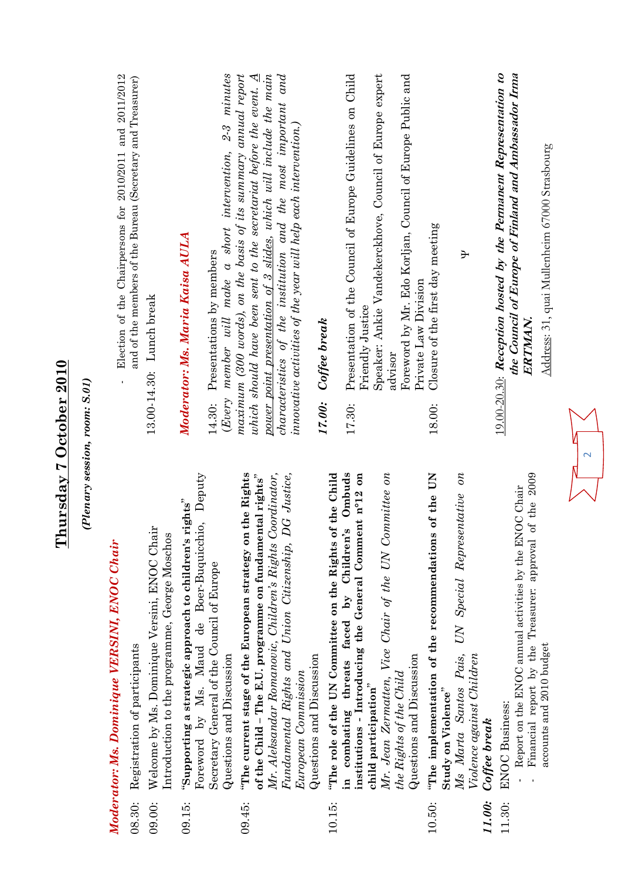|                  | (Plenary session, room: S.01)                                                                                                                                                                                                                                                                                |                                                                                                                                                                                                                                                                                                                                                                                       |
|------------------|--------------------------------------------------------------------------------------------------------------------------------------------------------------------------------------------------------------------------------------------------------------------------------------------------------------|---------------------------------------------------------------------------------------------------------------------------------------------------------------------------------------------------------------------------------------------------------------------------------------------------------------------------------------------------------------------------------------|
|                  | Moderator: Ms. Dominique VERSINI, ENOC Chair                                                                                                                                                                                                                                                                 | Election of the Chairpersons for 2010/2011 and 2011/2012                                                                                                                                                                                                                                                                                                                              |
| 08.30:           | Registration of participants                                                                                                                                                                                                                                                                                 | and of the members of the Bureau (Secretary and Treasurer)                                                                                                                                                                                                                                                                                                                            |
| 09.00:           | Welcome by Ms. Dominique Versini, ENOC Chair<br>Introduction to the programme, George Moschos                                                                                                                                                                                                                | 13.00-14.30: Lunch break                                                                                                                                                                                                                                                                                                                                                              |
| 09.15:           | Foreword by Ms. Maud de Boer-Buquicchio, Deputy<br>"Supporting a strategic approach to children's rights"<br>Secretary General of the Council of Europe<br>Questions and Discussion                                                                                                                          | $2-3$ minutes<br>(Every member will make a short intervention,<br>Moderator: Ms. Maria Kaisa AULA<br>Presentations by members<br>14.30:                                                                                                                                                                                                                                               |
| 09.45:           | "The current stage of the European strategy on the Rights<br>DG Justice,<br>Coordinator,<br>of the Child - The E.U. programme on fundamental rights"<br>Mr. Aleksandar Romanovic, Children's Rights<br>Fundamental Rights and Union Citizenship,<br>Questions and Discussion<br>European Commission          | maximum (300 words), on the basis of its summary annual report<br>power point presentation of 3 slides, which will include the main<br>characteristics of the institution and the most important and<br>which should have been sent to the secretariat before the event. $\underline{A}$<br>innovative activities of the year will help each intervention.)<br>Coffee break<br>17.00: |
| 10.15:           | Mr. Jean Zermatten, Vice Chair of the UN Committee on<br>The role of the UN Committee on the Rights of the Child<br>in combating threats faced by Children's Ombuds<br>institutions - Introducing the General Comment n°12 on<br>Questions and Discussion<br>the Rights of the Child<br>child participation" | Speaker: Ankie Vandekerckhove, Council of Europe expert<br>Presentation of the Council of Europe Guidelines on Child<br>Foreword by Mr. Edo Korljan, Council of Europe Public and<br>Private Law Division<br>Friendly Justice<br>advisor<br>17.30:                                                                                                                                    |
| 11.00:<br>10.50: | UN Special Representative on<br>s of the UN<br>"The implementation of the recommendation<br>Ms Marta Santos Pais,<br>Violence against Children<br>Study on Violence"<br>Coffee break                                                                                                                         | Closure of the first day meeting<br>Ŧ<br>18.00:                                                                                                                                                                                                                                                                                                                                       |
| 11.30:           | of the $2009$<br>Report on the ENOC annual activities by the ENOC Chair<br>Financial report by the Treasurer: approval<br>accounts and 2010 budget<br><b>ENOC</b> Business:                                                                                                                                  | 19.00-20.30: Reception hosted by the Permanent Representation to<br>the Council of Europe of Finland and Ambassador Irma<br>Address: 31, quai Mullenheim 67000 Strasbourg<br>ERTMAN.                                                                                                                                                                                                  |

**Thursday 7 October 2010**

Thursday 7 October 2010

2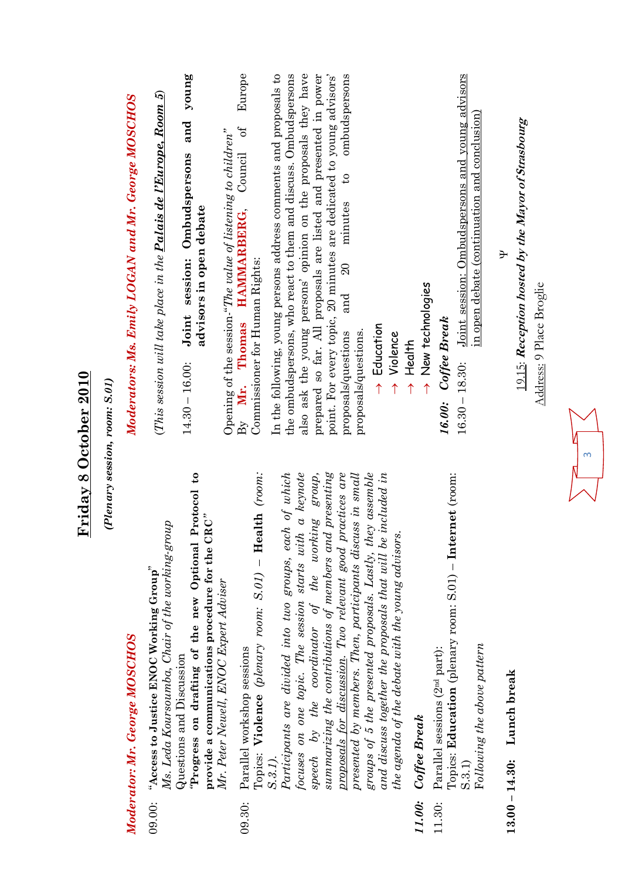|                  | Friday 8 October 2010                                                                                                                                                                                                                                                                                    |                                                                                                                                                                                                                                                                                                                                                   |
|------------------|----------------------------------------------------------------------------------------------------------------------------------------------------------------------------------------------------------------------------------------------------------------------------------------------------------|---------------------------------------------------------------------------------------------------------------------------------------------------------------------------------------------------------------------------------------------------------------------------------------------------------------------------------------------------|
|                  | (Plenary session, room: S.01)                                                                                                                                                                                                                                                                            |                                                                                                                                                                                                                                                                                                                                                   |
|                  | Moderator: Mr. George MOSCHOS                                                                                                                                                                                                                                                                            | Moderators: Ms. Emily LOGAN and Mr. George MOSCHOS                                                                                                                                                                                                                                                                                                |
| 09.00:           | 6 <sup>1</sup><br>Protocol<br>provide a communications procedure for the ${\rm CRC}^n$<br>Ms. Leda Koursoumba, Chair of the working-group<br>Progress on drafting of the new Optional<br>"Access to Justice ENOC Working Group"<br>Questions and Discussion                                              | young<br>(This session will take place in the $\overline{{\it Palais de l'Europe}}, {\it Room~5}$ )<br>and<br>session: Ombudspersons<br>advisors in open debate<br>Joint<br>$14.30 - 16.00$ :                                                                                                                                                     |
| 09.30:           | Topics: Violence (plenary room: S.01) - Health (room:<br>Mr. Peter Newell, ENOC Expert Adviser<br>Parallel workshop sessions                                                                                                                                                                             | Europe<br>$\sigma$ f<br>Opening of the session-"The value of listening to children"<br>Council<br>HAMMARBERG,<br>Commissioner for Human Rights:<br>$\mathbf{B}_{\mathbf{y}}$ Mr. Thomas                                                                                                                                                           |
|                  | summarizing the contributions of members and presenting<br>focuses on one topic. The session starts with a keynote<br>Participants are divided into two groups, each of which<br>speech by the coordinator of the working group,<br>S.3.1).                                                              | point. For every topic, 20 minutes are dedicated to young advisors'<br>In the following, young persons address comments and proposals to<br>also ask the young persons' opinion on the proposals they have<br>prepared so far. All proposals are listed and presented in power<br>the ombudspersons, who react to them and discuss. Ombudspersons |
|                  | groups of 5 the presented proposals. Lastly, they assemble<br>and discuss together the proposals that will be included in<br>proposals for discussion. Two relevant good practices are<br>presented by members. Then, participants discuss in small<br>the agenda of the debate with the young advisors. | ombudspersons<br>$\mathfrak{c}_4$<br>minutes<br>$\overline{20}$<br>and<br>$\rightarrow$ Education<br>proposals/questions.<br>proposals/questions<br>$\rightarrow$ Violence                                                                                                                                                                        |
| 11.00:<br>11.30: | Topics: Education (plenary room: S.01) - Internet (room:<br>Following the above pattern<br>Parallel sessions (2 <sup>nd</sup> part):<br>Coffee Break<br>S.3.1)                                                                                                                                           | Joint session: Ombudspersons and young advisors<br>in open debate (continuation and conclusion)<br>$\rightarrow$ New technologies<br>Coffee Break<br>$\rightarrow$ Health<br>$16.30 - 18.30$ :<br>16.00:                                                                                                                                          |
| $13.00 - 14.30:$ | Lunch break                                                                                                                                                                                                                                                                                              | 19.15: Reception hosted by the Mayor of Strasbourg<br>Đ<br>Address: 9 Place Broglie                                                                                                                                                                                                                                                               |
|                  |                                                                                                                                                                                                                                                                                                          |                                                                                                                                                                                                                                                                                                                                                   |